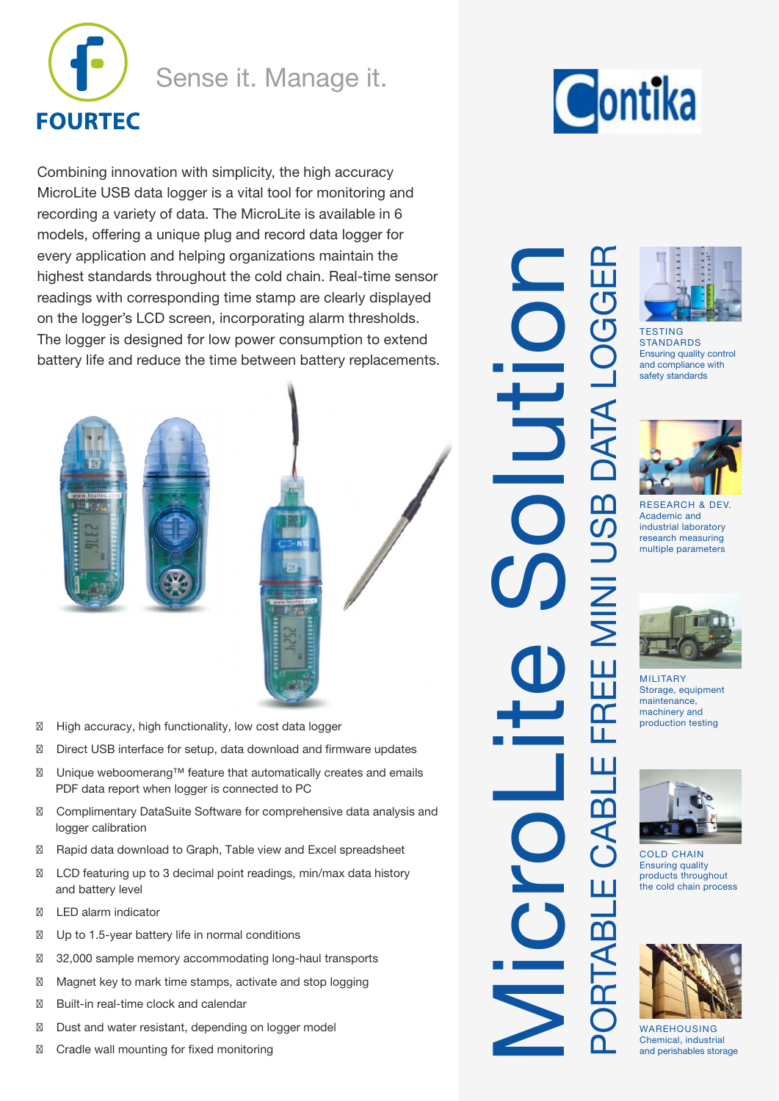

# Sense it. Manage it.

Combining innovation with simplicity, the high accuracy MicroLite USB data logger is a vital tool for monitoring and recording a variety of data. The MicroLite is available in 6 models, offering a unique plug and record data logger for every application and helping organizations maintain the highest standards throughout the cold chain. Real-time sensor readings with corresponding time stamp are clearly displayed on the logger's LCD screen, incorporating alarm thresholds. The logger is designed for low power consumption to extend battery life and reduce the time between battery replacements.



- � High accuracy, high functionality, low cost data logger
- � Direct USB interface for setup, data download and firmware updates
- PDF data report when logger is connected to PC � Unique weboomerang™ feature that automatically creates and emails
- logger calibration � Complimentary DataSuite Software for comprehensive data analysis and
- � Rapid data download to Graph, Table view and Excel spreadsheet
- and battery level � LCD featuring up to 3 decimal point readings, min/max data history
- � LED alarm indicator
- � Up to 1.5-year battery life in normal conditions
- � 32,000 sample memory accommodating long-haul transports
- � Magnet key to mark time stamps, activate and stop logging
- � Built-in real-time clock and calendar
- � Dust and water resistant, depending on logger model
- � Cradle wall mounting for fixed monitoring

Contika

PORTABLE CABLE FREE MINI USB DATA LOGGER MicroLite Solution **DATA L** JSB I  $E$  MINI ΕRΕ CABLE ш RTAB



**TESTING STANDARDS** Ensuring quality control and compliance with safety standards



RESEARCH & DEV. Academic and industrial laboratory research measuring multiple parameters



MILITARY Storage, equipment maintenance, machinery and production testing



COLD CHAIN Ensuring quality products throughout the cold chain process



WAREHOUSING Chemical, industrial and perishables storage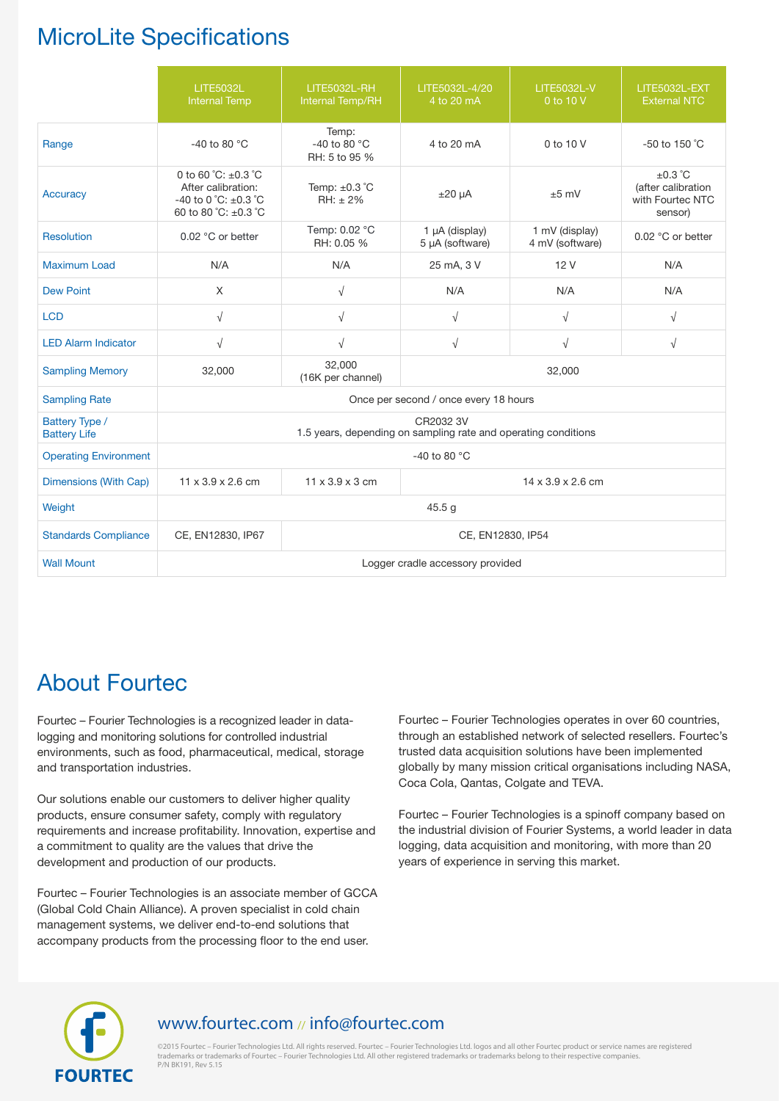# MicroLite Specifications

|                                       | <b>LITE5032L</b><br><b>Internal Temp</b>                                                                                | LITE5032L-RH<br>Internal Temp/RH                | LITE5032L-4/20<br>4 to 20 mA                                                | <b>LITE5032L-V</b><br>0 to 10 V   | <b>LITE5032L-EXT</b><br><b>External NTC</b>                       |  |  |
|---------------------------------------|-------------------------------------------------------------------------------------------------------------------------|-------------------------------------------------|-----------------------------------------------------------------------------|-----------------------------------|-------------------------------------------------------------------|--|--|
| Range                                 | -40 to 80 $^{\circ}$ C                                                                                                  | Temp:<br>-40 to 80 $\degree$ C<br>RH: 5 to 95 % | 4 to 20 mA                                                                  | 0 to 10 V                         | $-50$ to 150 °C                                                   |  |  |
| <b>Accuracy</b>                       | 0 to 60 °C: $\pm$ 0.3 °C<br>After calibration:<br>-40 to 0 $^{\circ}$ C: $\pm$ 0.3 $^{\circ}$ C<br>60 to 80 °C: ±0.3 °C | Temp: $\pm 0.3$ °C<br>$RH: \pm 2\%$             | $±20 \mu A$                                                                 | $±5$ mV                           | $\pm 0.3$ °C<br>(after calibration<br>with Fourtec NTC<br>sensor) |  |  |
| Resolution                            | 0.02 °C or better                                                                                                       | Temp: 0.02 °C<br>RH: 0.05 %                     | 1 µA (display)<br>5 µA (software)                                           | 1 mV (display)<br>4 mV (software) | 0.02 °C or better                                                 |  |  |
| <b>Maximum Load</b>                   | N/A                                                                                                                     | N/A                                             | 25 mA, 3 V                                                                  | 12V                               | N/A                                                               |  |  |
| <b>Dew Point</b>                      | X                                                                                                                       | $\sqrt{ }$                                      | N/A                                                                         | N/A                               | N/A                                                               |  |  |
| <b>LCD</b>                            | $\sqrt{ }$                                                                                                              | $\sqrt{ }$                                      | $\sqrt{ }$                                                                  | $\sqrt{ }$                        | $\sqrt{ }$                                                        |  |  |
| <b>LED Alarm Indicator</b>            | $\sqrt{ }$                                                                                                              | $\sqrt{}$                                       | $\sqrt{}$                                                                   | $\sqrt{ }$                        | $\sqrt{ }$                                                        |  |  |
| <b>Sampling Memory</b>                | 32,000                                                                                                                  | 32,000<br>(16K per channel)                     |                                                                             | 32,000                            |                                                                   |  |  |
| <b>Sampling Rate</b>                  |                                                                                                                         |                                                 | Once per second / once every 18 hours                                       |                                   |                                                                   |  |  |
| Battery Type /<br><b>Battery Life</b> |                                                                                                                         |                                                 | CR2032 3V<br>1.5 years, depending on sampling rate and operating conditions |                                   |                                                                   |  |  |
| <b>Operating Environment</b>          |                                                                                                                         |                                                 | -40 to 80 $\degree$ C                                                       |                                   |                                                                   |  |  |
| Dimensions (With Cap)                 | $11 \times 3.9 \times 2.6$ cm                                                                                           | $11 \times 3.9 \times 3$ cm                     | $14 \times 3.9 \times 2.6$ cm                                               |                                   |                                                                   |  |  |
| Weight                                |                                                                                                                         |                                                 | 45.5 g                                                                      |                                   |                                                                   |  |  |
| <b>Standards Compliance</b>           | CE, EN12830, IP67                                                                                                       |                                                 | CE, EN12830, IP54                                                           |                                   |                                                                   |  |  |
| <b>Wall Mount</b>                     |                                                                                                                         |                                                 | Logger cradle accessory provided                                            |                                   |                                                                   |  |  |

# About Fourtec

Fourtec – Fourier Technologies is a recognized leader in datalogging and monitoring solutions for controlled industrial environments, such as food, pharmaceutical, medical, storage and transportation industries.

Our solutions enable our customers to deliver higher quality products, ensure consumer safety, comply with regulatory requirements and increase profitability. Innovation, expertise and a commitment to quality are the values that drive the development and production of our products.

Fourtec – Fourier Technologies is an associate member of GCCA (Global Cold Chain Alliance). A proven specialist in cold chain management systems, we deliver end-to-end solutions that accompany products from the processing floor to the end user.

Fourtec – Fourier Technologies operates in over 60 countries, through an established network of selected resellers. Fourtec's trusted data acquisition solutions have been implemented globally by many mission critical organisations including NASA, Coca Cola, Qantas, Colgate and TEVA.

Fourtec – Fourier Technologies is a spinoff company based on the industrial division of Fourier Systems, a world leader in data logging, data acquisition and monitoring, with more than 20 years of experience in serving this market.



# www.fourtec.com // info@fourtec.com

© 2015 Fourtec – Fourier Technologies Ltd. All rights reserved. Fourtec – Fourier Technologies Ltd. logos and all other Fourtec product or service names are registered trademarks or trademarks of Fourtec – Fourier Technologies Ltd. All other registered trademarks or trademarks belong to their respective companies<br>P/N BK191, Rev 5.15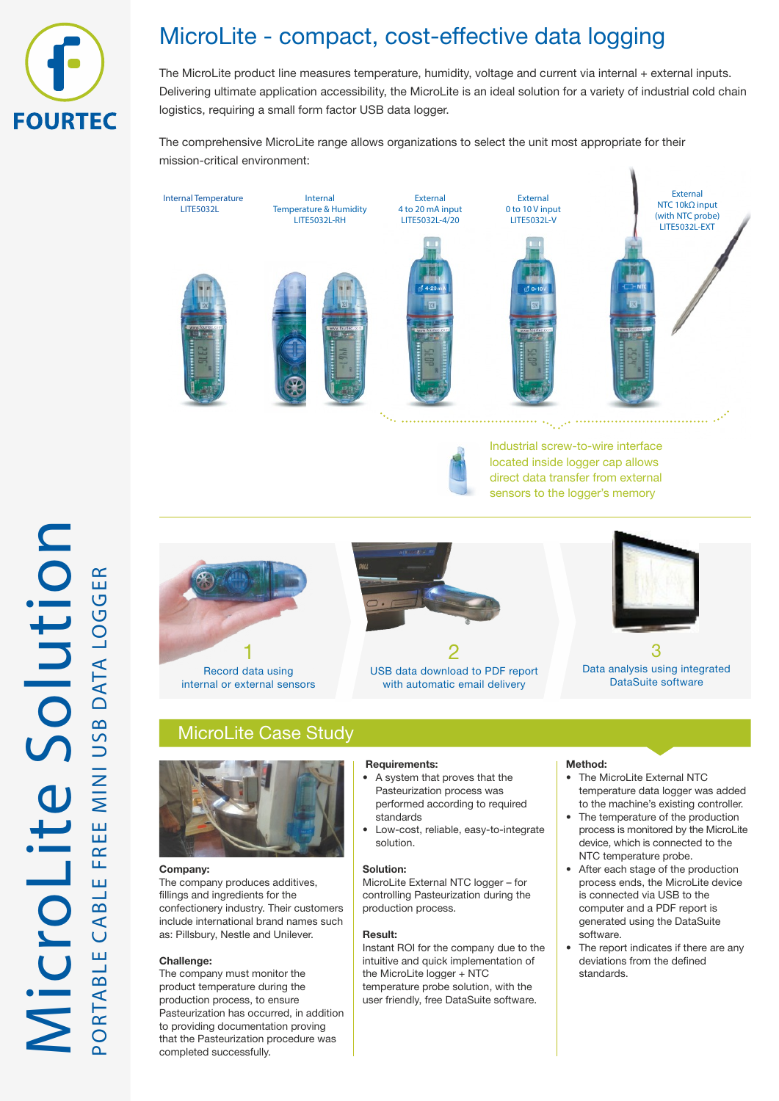

# MicroLite - compact, cost-effective data logging

The MicroLite product line measures temperature, humidity, voltage and current via internal + external inputs. Delivering ultimate application accessibility, the MicroLite is an ideal solution for a variety of industrial cold chain logistics, requiring a small form factor USB data logger.

The comprehensive MicroLite range allows organizations to select the unit most appropriate for their mission-critical environment:

External Internal Temperature Internal External External NTC 10kΩ input LITE5032L Temperature & Humidity 4 to 20 mA input 0 to 10 V input (with NTC probe) LITE5032L-RH LITE5032L-4/20 LITE5032L-V LITE5032L-EXT . . . . . . . . . . . . . . . . Industrial screw-to-wire interface located inside logger cap allows direct data transfer from external sensors to the logger's memory



with automatic email delivery



Data analysis using integrated DataSuite software

# MicroLite Case Study

internal or external sensors



## **Company:**

The company produces additives, fillings and ingredients for the confectionery industry. Their customers include international brand names such as: Pillsbury, Nestle and Unilever.

## **Challenge:**

The company must monitor the product temperature during the production process, to ensure Pasteurization has occurred, in addition to providing documentation proving that the Pasteurization procedure was completed successfully.

## **Requirements:**

- A system that proves that the Pasteurization process was performed according to required standards
- Low-cost, reliable, easy-to-integrate solution.

## **Solution:**

MicroLite External NTC logger – for controlling Pasteurization during the production process.

#### **Result:**

Instant ROI for the company due to the intuitive and quick implementation of the MicroLite logger + NTC temperature probe solution, with the user friendly, free DataSuite software.

#### **Method:**

- The MicroLite External NTC temperature data logger was added to the machine's existing controller.
- The temperature of the production process is monitored by the MicroLite device, which is connected to the NTC temperature probe.
- After each stage of the production process ends, the MicroLite device is connected via USB to the computer and a PDF report is generated using the DataSuite software.
- The report indicates if there are any deviations from the defined standards.